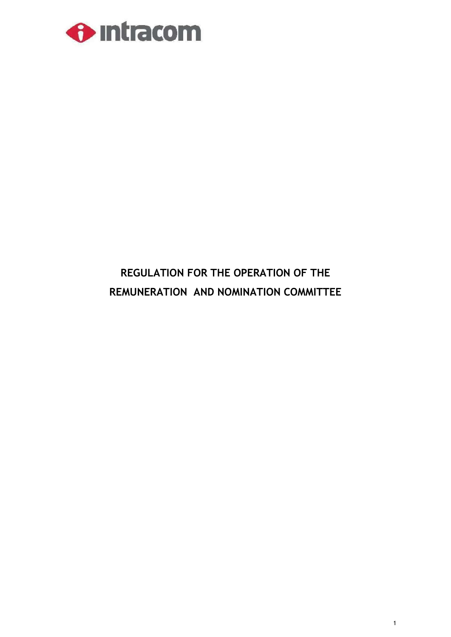

# REGULATION FOR THE OPERATION OF THE REMUNERATION AND NOMINATION COMMITTEE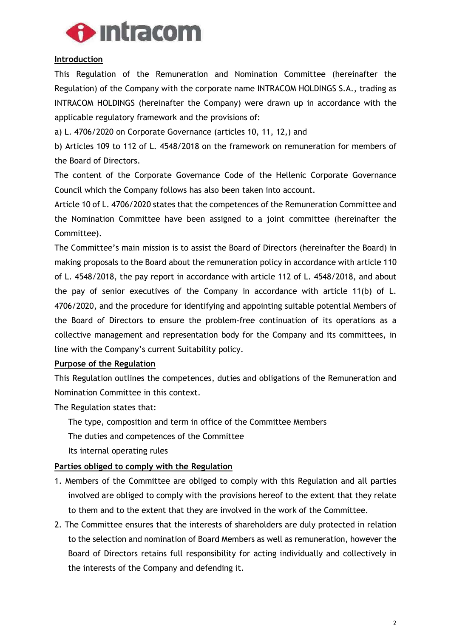

#### Introduction

This Regulation of the Remuneration and Nomination Committee (hereinafter the Regulation) of the Company with the corporate name INTRACOM HOLDINGS S.A., trading as INTRACOM HOLDINGS (hereinafter the Company) were drawn up in accordance with the applicable regulatory framework and the provisions of:

a) L. 4706/2020 on Corporate Governance (articles 10, 11, 12,) and

b) Articles 109 to 112 of L. 4548/2018 on the framework on remuneration for members of the Board of Directors.

The content of the Corporate Governance Code of the Hellenic Corporate Governance Council which the Company follows has also been taken into account.

Article 10 of L. 4706/2020 states that the competences of the Remuneration Committee and the Nomination Committee have been assigned to a joint committee (hereinafter the Committee).

The Committee's main mission is to assist the Board of Directors (hereinafter the Board) in making proposals to the Board about the remuneration policy in accordance with article 110 of L. 4548/2018, the pay report in accordance with article 112 of L. 4548/2018, and about the pay of senior executives of the Company in accordance with article 11(b) of L. 4706/2020, and the procedure for identifying and appointing suitable potential Members of the Board of Directors to ensure the problem-free continuation of its operations as a collective management and representation body for the Company and its committees, in line with the Company's current Suitability policy.

#### Purpose of the Regulation

This Regulation outlines the competences, duties and obligations of the Remuneration and Nomination Committee in this context.

The Regulation states that:

The type, composition and term in office of the Committee Members

The duties and competences of the Committee

Its internal operating rules

#### Parties obliged to comply with the Regulation

- 1. Members of the Committee are obliged to comply with this Regulation and all parties involved are obliged to comply with the provisions hereof to the extent that they relate to them and to the extent that they are involved in the work of the Committee.
- 2. The Committee ensures that the interests of shareholders are duly protected in relation to the selection and nomination of Board Members as well as remuneration, however the Board of Directors retains full responsibility for acting individually and collectively in the interests of the Company and defending it.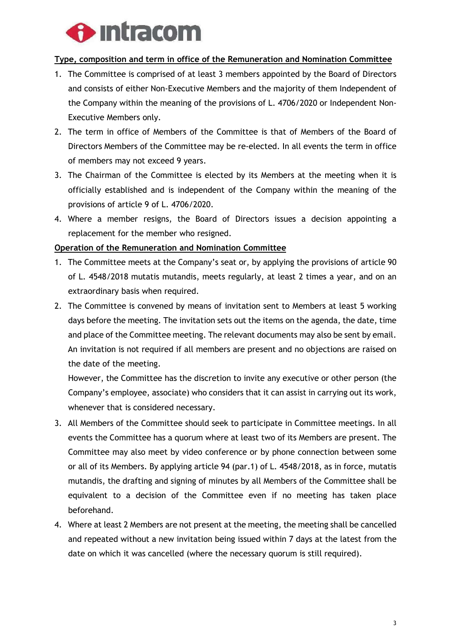

### Type, composition and term in office of the Remuneration and Nomination Committee

- 1. The Committee is comprised of at least 3 members appointed by the Board of Directors and consists of either Non-Executive Members and the majority of them Independent of the Company within the meaning of the provisions of L. 4706/2020 or Independent Non-Executive Members only.
- 2. The term in office of Members of the Committee is that of Members of the Board of Directors Members of the Committee may be re-elected. In all events the term in office of members may not exceed 9 years.
- 3. The Chairman of the Committee is elected by its Members at the meeting when it is officially established and is independent of the Company within the meaning of the provisions of article 9 of L. 4706/2020.
- 4. Where a member resigns, the Board of Directors issues a decision appointing a replacement for the member who resigned.

#### Operation of the Remuneration and Nomination Committee

- 1. The Committee meets at the Company's seat or, by applying the provisions of article 90 of L. 4548/2018 mutatis mutandis, meets regularly, at least 2 times a year, and on an extraordinary basis when required.
- 2. The Committee is convened by means of invitation sent to Members at least 5 working days before the meeting. The invitation sets out the items on the agenda, the date, time and place of the Committee meeting. The relevant documents may also be sent by email. An invitation is not required if all members are present and no objections are raised on the date of the meeting.

However, the Committee has the discretion to invite any executive or other person (the Company's employee, associate) who considers that it can assist in carrying out its work, whenever that is considered necessary.

- 3. All Μembers of the Committee should seek to participate in Committee meetings. In all events the Committee has a quorum where at least two of its Members are present. The Committee may also meet by video conference or by phone connection between some or all of its Members. By applying article 94 (par.1) of L. 4548/2018, as in force, mutatis mutandis, the drafting and signing of minutes by all Members of the Committee shall be equivalent to a decision of the Committee even if no meeting has taken place beforehand.
- 4. Where at least 2 Μembers are not present at the meeting, the meeting shall be cancelled and repeated without a new invitation being issued within 7 days at the latest from the date on which it was cancelled (where the necessary quorum is still required).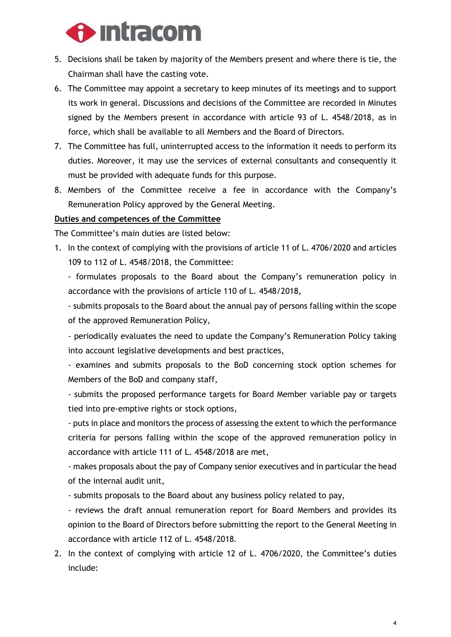

- 5. Decisions shall be taken by majority of the Members present and where there is tie, the Chairman shall have the casting vote.
- 6. The Committee may appoint a secretary to keep minutes of its meetings and to support its work in general. Discussions and decisions of the Committee are recorded in Minutes signed by the Members present in accordance with article 93 of L. 4548/2018, as in force, which shall be available to all Members and the Board of Directors.
- 7. The Committee has full, uninterrupted access to the information it needs to perform its duties. Moreover, it may use the services of external consultants and consequently it must be provided with adequate funds for this purpose.
- 8. Members of the Committee receive a fee in accordance with the Company's Remuneration Policy approved by the General Meeting.

#### Duties and competences of the Committee

The Committee's main duties are listed below:

1. In the context of complying with the provisions of article 11 of L. 4706/2020 and articles 109 to 112 of L. 4548/2018, the Committee:

 - formulates proposals to the Board about the Company's remuneration policy in accordance with the provisions of article 110 of L. 4548/2018,

 - submits proposals to the Board about the annual pay of persons falling within the scope of the approved Remuneration Policy,

 - periodically evaluates the need to update the Company's Remuneration Policy taking into account legislative developments and best practices,

 - examines and submits proposals to the BoD concerning stock option schemes for Members of the BoD and company staff,

 - submits the proposed performance targets for Board Member variable pay or targets tied into pre-emptive rights or stock options,

 - puts in place and monitors the process of assessing the extent to which the performance criteria for persons falling within the scope of the approved remuneration policy in accordance with article 111 of L. 4548/2018 are met,

 - makes proposals about the pay of Company senior executives and in particular the head of the internal audit unit,

- submits proposals to the Board about any business policy related to pay,

 - reviews the draft annual remuneration report for Board Members and provides its opinion to the Board of Directors before submitting the report to the General Meeting in accordance with article 112 of L. 4548/2018.

2. In the context of complying with article 12 of L. 4706/2020, the Committee's duties include: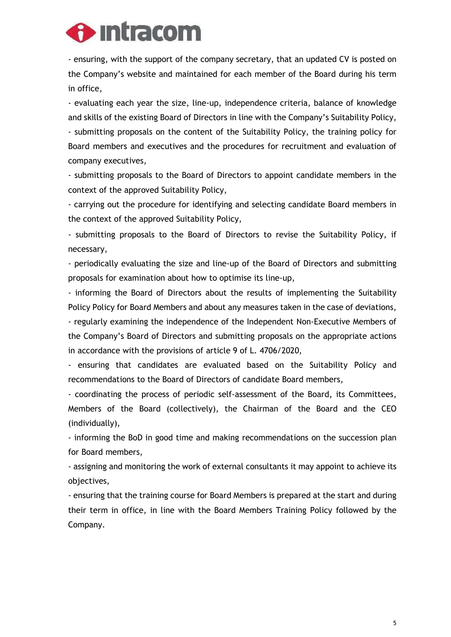

 - ensuring, with the support of the company secretary, that an updated CV is posted on the Company's website and maintained for each member of the Board during his term in office,

 - evaluating each year the size, line-up, independence criteria, balance of knowledge and skills of the existing Board of Directors in line with the Company's Suitability Policy, - submitting proposals on the content of the Suitability Policy, the training policy for Board members and executives and the procedures for recruitment and evaluation of company executives,

 - submitting proposals to the Board of Directors to appoint candidate members in the context of the approved Suitability Policy,

 - carrying out the procedure for identifying and selecting candidate Board members in the context of the approved Suitability Policy,

 - submitting proposals to the Board of Directors to revise the Suitability Policy, if necessary,

 - periodically evaluating the size and line-up of the Board of Directors and submitting proposals for examination about how to optimise its line-up,

 - informing the Board of Directors about the results of implementing the Suitability Policy Policy for Board Members and about any measures taken in the case of deviations, - regularly examining the independence of the Independent Non-Executive Members of the Company's Board of Directors and submitting proposals on the appropriate actions in accordance with the provisions of article 9 of L. 4706/2020,

 - ensuring that candidates are evaluated based on the Suitability Policy and recommendations to the Board of Directors of candidate Board members,

 - coordinating the process of periodic self-assessment of the Board, its Committees, Members of the Board (collectively), the Chairman of the Board and the CEO (individually),

 - informing the BoD in good time and making recommendations on the succession plan for Board members,

 - assigning and monitoring the work of external consultants it may appoint to achieve its objectives,

 - ensuring that the training course for Board Members is prepared at the start and during their term in office, in line with the Board Members Training Policy followed by the Company.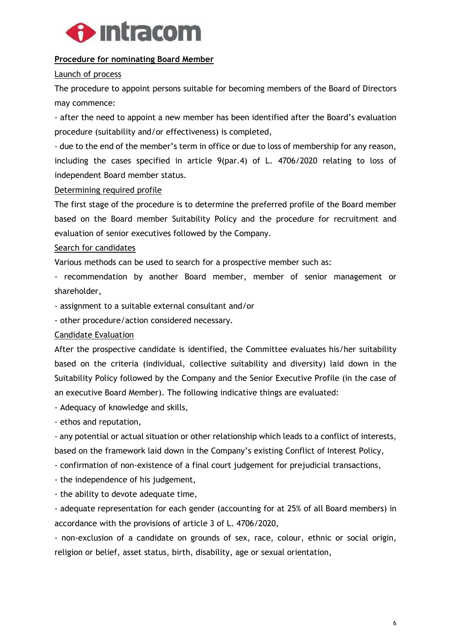

#### Procedure for nominating Board Member

Launch of process

The procedure to appoint persons suitable for becoming members of the Board of Directors may commence:

- after the need to appoint a new member has been identified after the Board's evaluation procedure (suitability and/or effectiveness) is completed,

- due to the end of the member's term in office or due to loss of membership for any reason, including the cases specified in article 9(par.4) of L. 4706/2020 relating to loss of independent Board member status.

#### Determining required profile

The first stage of the procedure is to determine the preferred profile of the Board member based on the Board member Suitability Policy and the procedure for recruitment and evaluation of senior executives followed by the Company.

#### Search for candidates

Various methods can be used to search for a prospective member such as:

- recommendation by another Board member, member of senior management or shareholder,

- assignment to a suitable external consultant and/or

- other procedure/action considered necessary.

#### Candidate Evaluation

After the prospective candidate is identified, the Committee evaluates his/her suitability based on the criteria (individual, collective suitability and diversity) laid down in the Suitability Policy followed by the Company and the Senior Executive Profile (in the case of an executive Board Member). The following indicative things are evaluated:

- Adequacy of knowledge and skills,

- ethos and reputation,

- any potential or actual situation or other relationship which leads to a conflict of interests, based on the framework laid down in the Company's existing Conflict of Interest Policy,

- confirmation of non-existence of a final court judgement for prejudicial transactions,

- the independence of his judgement,

- the ability to devote adequate time,

- adequate representation for each gender (accounting for at 25% of all Board members) in accordance with the provisions of article 3 of L. 4706/2020,

- non-exclusion of a candidate on grounds of sex, race, colour, ethnic or social origin, religion or belief, asset status, birth, disability, age or sexual orientation,